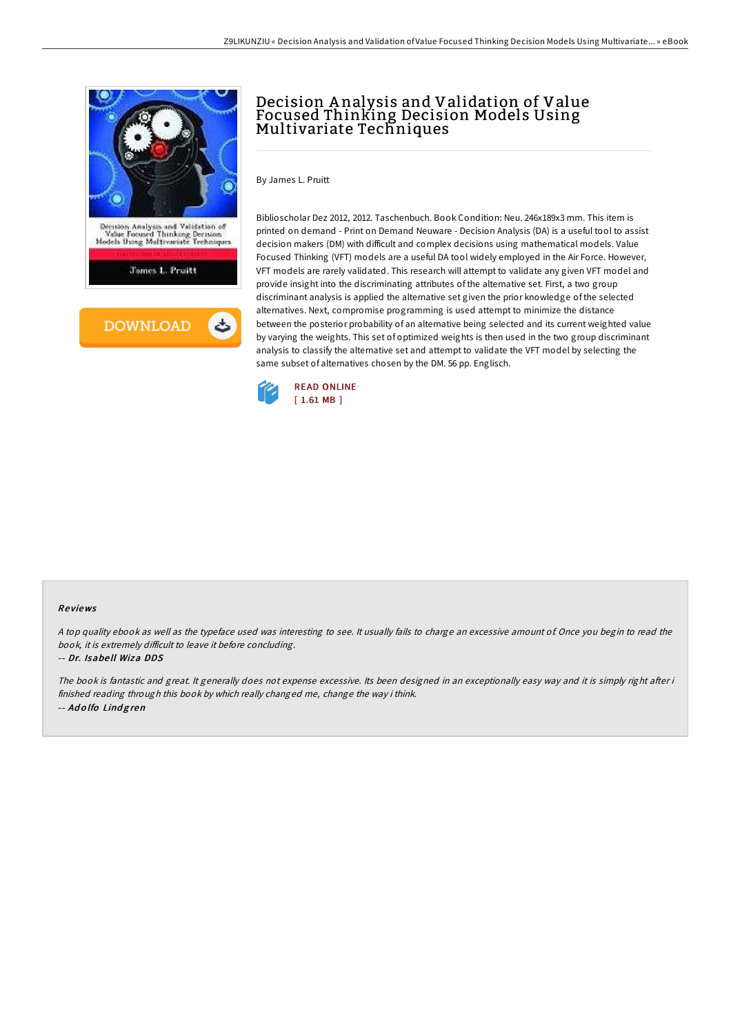

# Decision A nalysis and Validation of Value Focused Thinking Decision Models Using<br>Multivariate Techniques

By James L. Pruitt

Biblioscholar Dez 2012, 2012. Taschenbuch. Book Condition: Neu. 246x189x3 mm. This item is printed on demand - Print on Demand Neuware - Decision Analysis (DA) is a useful tool to assist decision makers (DM) with difficult and complex decisions using mathematical models. Value Focused Thinking (VFT) models are a useful DA tool widely employed in the Air Force. However, VFT models are rarely validated. This research will attempt to validate any given VFT model and provide insight into the discriminating attributes of the alternative set. First, a two group discriminant analysis is applied the alternative set given the prior knowledge of the selected alternatives. Next, compromise programming is used attempt to minimize the distance between the posterior probability of an alternative being selected and its current weighted value by varying the weights. This set of optimized weights is then used in the two group discriminant analysis to classify the alternative set and attempt to validate the VFT model by selecting the same subset of alternatives chosen by the DM. 56 pp. Englisch.



#### Re views

<sup>A</sup> top quality ebook as well as the typeface used was interesting to see. It usually fails to charge an excessive amount of. Once you begin to read the book, it is extremely difficult to leave it before concluding.

#### -- Dr. Isabe ll Wiza DDS

The book is fantastic and great. It generally does not expense excessive. Its been designed in an exceptionally easy way and it is simply right after i finished reading through this book by which really changed me, change the way i think. -- Ad <sup>o</sup> lfo Lind g ren